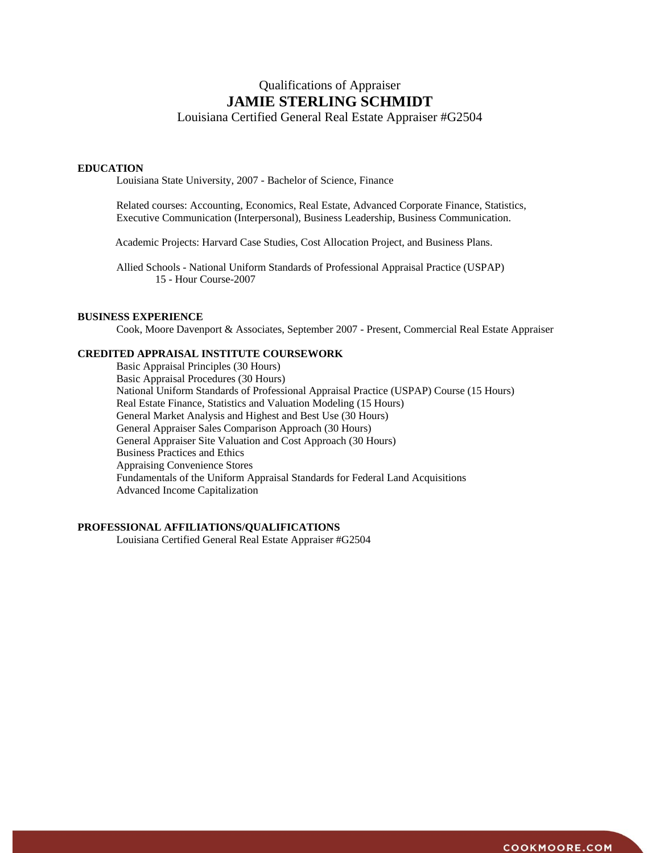# Qualifications of Appraiser **JAMIE STERLING SCHMIDT**

Louisiana Certified General Real Estate Appraiser #G2504

## **EDUCATION**

Louisiana State University, 2007 - Bachelor of Science, Finance

Related courses: Accounting, Economics, Real Estate, Advanced Corporate Finance, Statistics, Executive Communication (Interpersonal), Business Leadership, Business Communication.

Academic Projects: Harvard Case Studies, Cost Allocation Project, and Business Plans.

Allied Schools - National Uniform Standards of Professional Appraisal Practice (USPAP) 15 - Hour Course-2007

# **BUSINESS EXPERIENCE**

Cook, Moore Davenport & Associates, September 2007 - Present, Commercial Real Estate Appraiser

## **CREDITED APPRAISAL INSTITUTE COURSEWORK**

Basic Appraisal Principles (30 Hours) Basic Appraisal Procedures (30 Hours) National Uniform Standards of Professional Appraisal Practice (USPAP) Course (15 Hours) Real Estate Finance, Statistics and Valuation Modeling (15 Hours) General Market Analysis and Highest and Best Use (30 Hours) General Appraiser Sales Comparison Approach (30 Hours) General Appraiser Site Valuation and Cost Approach (30 Hours) Business Practices and Ethics Appraising Convenience Stores Fundamentals of the Uniform Appraisal Standards for Federal Land Acquisitions Advanced Income Capitalization

# **PROFESSIONAL AFFILIATIONS/QUALIFICATIONS**

Louisiana Certified General Real Estate Appraiser #G2504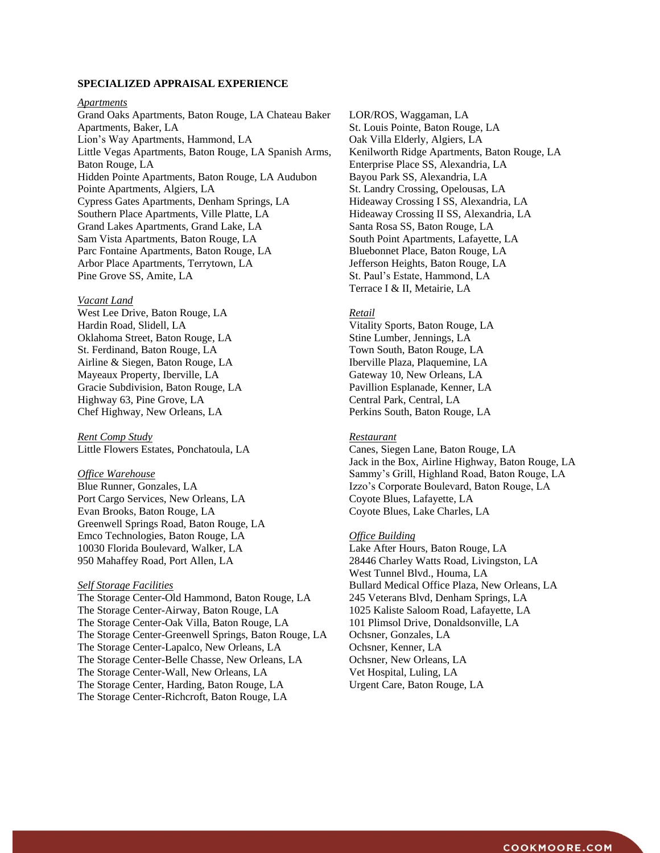# **SPECIALIZED APPRAISAL EXPERIENCE**

### *Apartments*

Grand Oaks Apartments, Baton Rouge, LA Chateau Baker Apartments, Baker, LA Lion's Way Apartments, Hammond, LA Little Vegas Apartments, Baton Rouge, LA Spanish Arms, Baton Rouge, LA Hidden Pointe Apartments, Baton Rouge, LA Audubon Pointe Apartments, Algiers, LA Cypress Gates Apartments, Denham Springs, LA Southern Place Apartments, Ville Platte, LA Grand Lakes Apartments, Grand Lake, LA Sam Vista Apartments, Baton Rouge, LA Parc Fontaine Apartments, Baton Rouge, LA Arbor Place Apartments, Terrytown, LA Pine Grove SS, Amite, LA

#### *Vacant Land*

West Lee Drive, Baton Rouge, LA Hardin Road, Slidell, LA Oklahoma Street, Baton Rouge, LA St. Ferdinand, Baton Rouge, LA Airline & Siegen, Baton Rouge, LA Mayeaux Property, Iberville, LA Gracie Subdivision, Baton Rouge, LA Highway 63, Pine Grove, LA Chef Highway, New Orleans, LA

*Rent Comp Study* Little Flowers Estates, Ponchatoula, LA

#### *Office Warehouse*

Blue Runner, Gonzales, LA Port Cargo Services, New Orleans, LA Evan Brooks, Baton Rouge, LA Greenwell Springs Road, Baton Rouge, LA Emco Technologies, Baton Rouge, LA 10030 Florida Boulevard, Walker, LA 950 Mahaffey Road, Port Allen, LA

## *Self Storage Facilities*

The Storage Center-Old Hammond, Baton Rouge, LA The Storage Center-Airway, Baton Rouge, LA The Storage Center-Oak Villa, Baton Rouge, LA The Storage Center-Greenwell Springs, Baton Rouge, LA The Storage Center-Lapalco, New Orleans, LA The Storage Center-Belle Chasse, New Orleans, LA The Storage Center-Wall, New Orleans, LA The Storage Center, Harding, Baton Rouge, LA The Storage Center-Richcroft, Baton Rouge, LA

LOR/ROS, Waggaman, LA St. Louis Pointe, Baton Rouge, LA Oak Villa Elderly, Algiers, LA Kenilworth Ridge Apartments, Baton Rouge, LA Enterprise Place SS, Alexandria, LA Bayou Park SS, Alexandria, LA St. Landry Crossing, Opelousas, LA Hideaway Crossing I SS, Alexandria, LA Hideaway Crossing II SS, Alexandria, LA Santa Rosa SS, Baton Rouge, LA South Point Apartments, Lafayette, LA Bluebonnet Place, Baton Rouge, LA Jefferson Heights, Baton Rouge, LA St. Paul's Estate, Hammond, LA Terrace I & II, Metairie, LA

## *Retail*

Vitality Sports, Baton Rouge, LA Stine Lumber, Jennings, LA Town South, Baton Rouge, LA Iberville Plaza, Plaquemine, LA Gateway 10, New Orleans, LA Pavillion Esplanade, Kenner, LA Central Park, Central, LA Perkins South, Baton Rouge, LA

## *Restaurant*

Canes, Siegen Lane, Baton Rouge, LA Jack in the Box, Airline Highway, Baton Rouge, LA Sammy's Grill, Highland Road, Baton Rouge, LA Izzo's Corporate Boulevard, Baton Rouge, LA Coyote Blues, Lafayette, LA Coyote Blues, Lake Charles, LA

## *Office Building*

Lake After Hours, Baton Rouge, LA 28446 Charley Watts Road, Livingston, LA West Tunnel Blvd., Houma, LA Bullard Medical Office Plaza, New Orleans, LA 245 Veterans Blvd, Denham Springs, LA 1025 Kaliste Saloom Road, Lafayette, LA 101 Plimsol Drive, Donaldsonville, LA Ochsner, Gonzales, LA Ochsner, Kenner, LA Ochsner, New Orleans, LA Vet Hospital, Luling, LA Urgent Care, Baton Rouge, LA